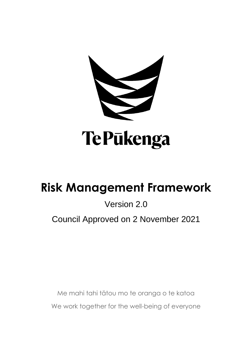

# **Risk Management Framework**

# Version 2.0

# Council Approved on 2 November 2021

Me mahi tahi tātou mo te oranga o te katoa We work together for the well-being of everyone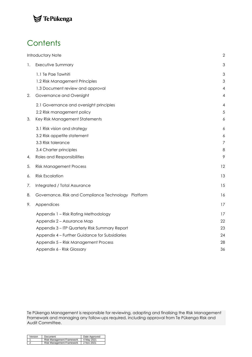### TePūkenga

# **Contents**

|    | Introductory Note                                   | $\mathbf{2}$   |
|----|-----------------------------------------------------|----------------|
| 1. | Executive Summary                                   | 3              |
|    | 1.1 Te Pae Tawhiti                                  | 3              |
|    | 1.2 Risk Management Principles                      | 3              |
|    | 1.3 Document review and approval                    | $\overline{4}$ |
| 2. | Governance and Oversight                            | 4              |
|    | 2.1 Governance and oversight principles             | 4              |
|    | 2.2 Risk management policy                          | 5              |
| 3. | Key Risk Management Statements                      | 6              |
|    | 3.1 Risk vision and strategy                        | 6              |
|    | 3.2 Risk appetite statement                         | 6              |
|    | 3.3 Risk tolerance                                  | $\overline{7}$ |
|    | 3.4 Charter principles                              | 8              |
| 4. | Roles and Responsibilities                          | 9              |
| 5. | <b>Risk Management Process</b>                      | 12             |
| 6. | <b>Risk Escalation</b>                              | 13             |
| 7. | Integrated / Total Assurance                        | 15             |
| 8. | Governance, Risk and Compliance Technology Platform | 16             |
| 9. | Appendices                                          | 17             |
|    | Appendix 1 - Risk Rating Methodology                | 17             |
|    | Appendix 2 - Assurance Map                          | 22             |
|    | Appendix 3 - ITP Quarterly Risk Summary Report      | 23             |
|    | Appendix 4 - Further Guidance for Subsidiaries      | 24             |
|    | Appendix 5 - Risk Management Process                | 28             |
|    | Appendix 6 - Risk Glossary                          | 36             |
|    |                                                     |                |

Te Pūkenga Management is responsible for reviewing, adapting and finalising the Risk Management Framework and managing any follow-ups required, including approval from Te Pūkenga Risk and Audit Committee.

| Version | Document                                                                     | Date Approved |
|---------|------------------------------------------------------------------------------|---------------|
|         | Risk Management Framework 4 May 2021<br>Pisk Management Framework 2 Nov 2021 |               |
|         |                                                                              |               |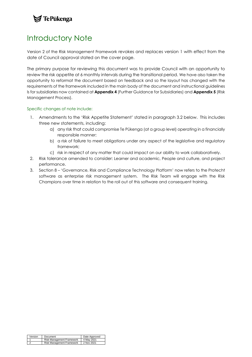### $\blacktriangleright$  Te Pūkenga

### <span id="page-2-0"></span>Introductory Note

Version 2 of the Risk Management Framework revokes and replaces version 1 with effect from the date of Council approval stated on the cover page.

The primary purpose for reviewing this document was to provide Council with an opportunity to review the risk appetite at 6 monthly intervals during the transitional period. We have also taken the opportunity to reformat the document based on feedback and so the layout has changed with the requirements of the framework included in the main body of the document and instructional guidelines ls for subsidiaries now contained at **Appendix 4** (Further Guidance for Subsidiaries) and **Appendix 5** (Risk Management Process).

#### Specific changes of note include:

- 1. Amendments to the 'Risk Appetite Statement' stated in paragraph 3.2 below. This includes three new statements, including:
	- a) any risk that could compromise Te Pūkenga (at a group level) operating in a financially responsible manner;
	- b) a risk of failure to meet obligations under any aspect of the legislative and regulatory framework;
	- c) risk in respect of any matter that could impact on our ability to work collaboratively.
- 2. Risk tolerance amended to consider: Learner and academic, People and culture, and project performance.
- 3. Section 8 'Governance, Risk and Compliance Technology Platform' now refers to the Protecht software as enterprise risk management system. The Risk Team will engage with the Risk Champions over time in relation to the roll out of this software and consequent training.

| Version | Document                                                                     | Date Approved |
|---------|------------------------------------------------------------------------------|---------------|
|         | Risk Management Framework 4 May 2021<br>Risk Management Framework 2 Nov 2021 |               |
|         |                                                                              |               |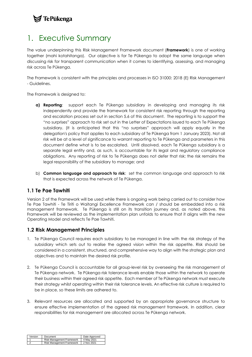### **/ TePūkenga**

### <span id="page-3-0"></span>1. Executive Summary

The value underpinning this Risk Management Framework document (**Framework**) is one of working together (mahi kotahitanga). Our objective is for Te Pūkenga to adopt the same language when discussing risk for transparent communication when it comes to identifying, assessing, and managing risk across Te Pūkenga.

The Framework is consistent with the principles and processes in ISO 31000: 2018 (E) Risk Management - Guidelines.

The Framework is designed to:

- **a) Reporting**: support each Te Pūkenga subsidiary in developing and managing its risk independently and provide the framework for consistent risk reporting through the reporting and escalation process set out in section 5.6 of this document. The reporting is to support the "no surprises" approach to risk set out in the Letter of Expectations issued to each Te Pūkenga subsidiary. (It is anticipated that this "no surprises" approach will apply equally in the delegation's policy that applies to each subsidiary of Te Pūkenga from 1 January 2023). Not all risk will be at a level of significance to warrant reporting to Te Pūkenga and parameters in this document define what is to be escalated. Until dissolved, each Te Pūkenga subsidiary is a separate legal entity and, as such, is accountable for its legal and regulatory compliance obligations. Any reporting of risk to Te Pūkenga does not defer that risk; the risk remains the legal responsibility of the subsidiary to manage; and
- b) **Common language and approach to risk**: set the common language and approach to risk that is expected across the network of Te Pūkenga.

### <span id="page-3-1"></span>**1.1 Te Pae Tawhiti**

Version 2 of the Framework will be used while there is ongoing work being carried out to consider how Te Pae Tawhiti - Te Tiriti o Waitangi Excellence Framework can / should be embedded into a risk management framework. Te Pūkenga is still on its transition journey and, as noted above, this Framework will be reviewed as the implementation plan unfolds to ensure that it aligns with the new Operating Model and reflects Te Pae Tawhiti.

### <span id="page-3-2"></span>**1.2 Risk Management Principles**

- 1. Te Pūkenga Council requires each subsidiary to be managed in line with the risk strategy of the subsidiary which sets out to realise the agreed vision within the risk appetite. Risk should be considered in a consistent, structured, and comprehensive way to align with the strategic plan and objectives and to maintain the desired risk profile.
- 2. Te Pūkenga Council is accountable for all group-level risk by overseeing the risk management of Te Pūkenga network. Te Pūkenga risk tolerance levels enable those within the network to operate their business within their agreed risk appetite. Each member of Te Pūkenga network must execute their strategy whilst operating within their risk tolerance levels. An effective risk culture is required to be in place, so these limits are adhered to.
- 3. Relevant resources are allocated and supported by an appropriate governance structure to ensure effective implementation of the agreed risk management framework. In addition, clear responsibilities for risk management are allocated across Te Pūkenga network.

| Version Document                     | Date Approved |
|--------------------------------------|---------------|
| Risk Management Framework 4 May 2021 |               |
| Risk Management Framework 2 Nov 2021 |               |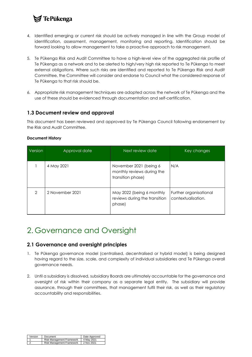### ≸ TePūkenga

- 4. Identified emerging or current risk should be actively managed in line with the Group model of identification, assessment, management, monitoring and reporting. Identification should be forward looking to allow management to take a proactive approach to risk management.
- 5. Te Pūkenga Risk and Audit Committee to have a high-level view of the aggregated risk profile of Te Pūkenga as a network and to be alerted to high/very high risk reported to Te Pūkenga to meet external obligations. Where such risks are identified and reported to Te Pūkenga Risk and Audit Committee, the Committee will consider and endorse to Council what the considered response of Te Pūkenga to that risk should be.
- 6. Appropriate risk management techniques are adopted across the network of Te Pūkenga and the use of these should be evidenced through documentation and self-certification.

### <span id="page-4-0"></span>**1.3 Document review and approval**

This document has been reviewed and approved by Te Pūkenga Council following endorsement by the Risk and Audit Committee.

| ocument History |                 |                                                                           |                                              |  |  |
|-----------------|-----------------|---------------------------------------------------------------------------|----------------------------------------------|--|--|
| Version         | Approval date   | Next review date                                                          | Key changes                                  |  |  |
|                 | 4 May 2021      | November 2021 (being 6<br>monthly reviews during the<br>transition phase) | N/A                                          |  |  |
| 2               | 2 November 2021 | May 2022 (being 6 monthly<br>reviews during the transition<br>phase)      | Further organisational<br>contextualisation. |  |  |

### **Document Hist**

### <span id="page-4-1"></span>2. Governance and Oversight

### <span id="page-4-2"></span>**2.1 Governance and oversight principles**

- 1. Te Pūkenga governance model (centralised, decentralised or hybrid model) is being designed having regard to the size, scale, and complexity of individual subsidiaries and Te Pūkenga overall governance needs.
- 2. Until a subsidiary is dissolved, subsidiary Boards are ultimately accountable for the governance and oversight of risk within their company as a separate legal entity. The subsidiary will provide assurance, through their committees, that management fulfil their risk, as well as their regulatory accountability and responsibilities.

| Version Document          | Date Approved |
|---------------------------|---------------|
| Risk Management Framework | 4 May 2021    |
| Risk Management Framework | 2 Nov 2021    |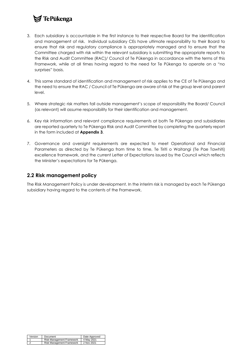### **7** Te Pūkenga

- 3. Each subsidiary is accountable in the first instance to their respective Board for the identification and management of risk. Individual subsidiary CEs have ultimate responsibility to their Board to ensure that risk and regulatory compliance is appropriately managed and to ensure that the Committee charged with risk within the relevant subsidiary is submitting the appropriate reports to the Risk and Audit Committee (RAC)/ Council of Te Pūkenga in accordance with the terms of this Framework, while at all times having regard to the need for Te Pūkenga to operate on a "no surprises" basis.
- 4. This same standard of identification and management of risk applies to the CE of Te Pūkenga and the need to ensure the RAC / Council of Te Pūkenga are aware of risk at the group level and parent level.
- 5. Where strategic risk matters fall outside management's scope of responsibility the Board/ Council (as relevant) will assume responsibility for their identification and management.
- 6. Key risk information and relevant compliance requirements at both Te Pūkenga and subsidiaries are reported quarterly to Te Pūkenga Risk and Audit Committee by completing the quarterly report in the form included at **Appendix 3**.
- 7. Governance and oversight requirements are expected to meet Operational and Financial Parameters as directed by Te Pūkenga from time to time, Te Tiriti o Waitangi (Te Pae Tawhiti) excellence framework, and the current Letter of Expectations issued by the Council which reflects the Minister's expectations for Te Pūkenga.

### <span id="page-5-0"></span>**2.2 Risk management policy**

The Risk Management Policy is under development. In the interim risk is managed by each Te Pūkenga subsidiary having regard to the contents of the Framework.

| Version | Document                                                                     | Date Approved |
|---------|------------------------------------------------------------------------------|---------------|
|         | Risk Management Framework 4 May 2021<br>Risk Management Framework 2 Nov 2021 |               |
|         |                                                                              |               |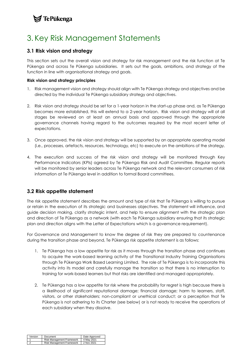### $\blacktriangleright$  Te Pūkenga

### <span id="page-6-0"></span>3. Key Risk Management Statements

### <span id="page-6-1"></span>**3.1 Risk vision and strategy**

This section sets out the overall vision and strategy for risk management and the risk function at Te Pūkenga and across Te Pūkenga subsidiaries. It sets out the goals, ambitions, and strategy of the function in line with organisational strategy and goals.

#### **Risk vision and strategy principles**

- 1. Risk management vision and strategy should align with Te Pūkenga strategy and objectives and be directed by the individual Te Pūkenga subsidiary strategy and objectives.
- 2. Risk vision and strategy should be set for a 1-year horizon in the start-up phase and, as Te Pūkenga becomes more established, this will extend to a 2-year horizon. Risk vision and strategy will at all stages be reviewed on at least an annual basis and approved through the appropriate governance channels having regard to the outcomes required by the most recent letter of expectations.
- 3. Once approved, the risk vision and strategy will be supported by an appropriate operating model (i.e., processes, artefacts, resources, technology, etc) to execute on the ambitions of the strategy.
- 4. The execution and success of the risk vision and strategy will be monitored through Key Performance Indicators (KPIs) agreed by Te Pūkenga Risk and Audit Committee. Regular reports will be monitored by senior leaders across Te Pūkenga network and the relevant consumers of risk information at Te Pūkenga level in addition to formal Board committees.

### <span id="page-6-2"></span>**3.2 Risk appetite statement**

The risk appetite statement describes the amount and type of risk that Te Pūkenga is willing to pursue or retain in the execution of its strategic and businesses objectives. The statement will influence, and guide decision making, clarify strategic intent, and help to ensure alignment with the strategic plan and direction of Te Pūkenga as a network (with each Te Pūkenga subsidiary ensuring that its strategic plan and direction aligns with the Letter of Expectations which is a governance requirement).

For Governance and Management to know the degree of risk they are prepared to countenance during the transition phase and beyond, Te Pūkenga risk appetite statement is as follows:

- 1. Te Pūkenga has a low appetite for risk as it moves through the transition phase and continues to acquire the work-based learning activity of the Transitional Industry Training Organisations through Te Pūkenga Work Based Learning Limited. The role of Te Pūkenga is to incorporate this activity into its model and carefully manage the transition so that there is no interruption to training for work-based learners but that risks are identified and managed appropriately.
- 2. Te Pūkenga has a low appetite for risk where the probability for regret is high because there is a likelihood of significant reputational damage; financial damage; harm to learners, staff, visitors, or other stakeholders; non-compliant or unethical conduct; or a perception that Te Pūkenga is not adhering to its Charter (see below) or is not ready to receive the operations of each subsidiary when they dissolve.

| Version Document                     | Date Approved |
|--------------------------------------|---------------|
| Risk Management Framework 4 May 2021 |               |
| Risk Management Framework            | 2 Nov 2021    |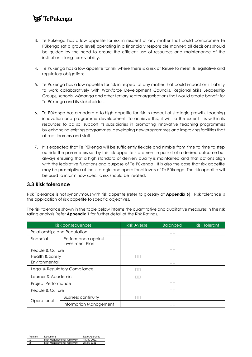### **7** Te Pūkenga

- 3. Te Pūkenga has a low appetite for risk in respect of any matter that could compromise Te Pūkenga (at a group level) operating in a financially responsible manner; all decisions should be guided by the need to ensure the efficient use of resources and maintenance of the institution's long-term viability.
- 4. Te Pūkenga has a low appetite for risk where there is a risk of failure to meet its legislative and regulatory obligations.
- 5. Te Pūkenga has a low appetite for risk in respect of any matter that could impact on its ability to work collaboratively with Workforce Development Councils, Regional Skills Leadership Groups, schools, wānanga and other tertiary sector organisations that would create benefit for Te Pūkenga and its stakeholders.
- 6. Te Pūkenga has a moderate to high appetite for risk in respect of strategic growth, teaching innovation and programme development. To achieve this, it will, to the extent it is within its resources to do so, support its subsidiaries in promoting innovative teaching programmes by enhancing existing programmes, developing new programmes and improving facilities that attract learners and staff.
- 7. It is expected that Te Pūkenga will be sufficiently flexible and nimble from time to time to step outside the parameters set by this risk appetite statement in pursuit of a desired outcome but always ensuring that a high standard of delivery quality is maintained and that actions align with the legislative functions and purpose of Te Pūkenga. It is also the case that risk appetite may be prescriptive at the strategic and operational levels of Te Pūkenga. The risk appetite will be used to inform how specific risk should be treated.

### <span id="page-7-0"></span>**3.3 Risk tolerance**

Risk Tolerance is not synonymous with risk appetite (refer to glossary at **Appendix 6**). Risk tolerance is the application of risk appetite to specific objectives.

The risk tolerance shown in the table below informs the quantitative and qualitative measures in the risk rating analysis (refer **Appendix 1** for further detail of the Risk Rating).

|                                                            | Risk consequences          | <b>Risk Averse</b> | <b>Balanced</b> | <b>Risk Tolerant</b> |
|------------------------------------------------------------|----------------------------|--------------------|-----------------|----------------------|
| Relationships and Reputation                               |                            |                    | ПF              |                      |
| Financial<br>Performance against<br><b>Investment Plan</b> |                            |                    |                 |                      |
| People & Culture                                           |                            |                    | ПF              |                      |
| Health & Safety                                            |                            | ПF                 |                 |                      |
| Environmental                                              |                            |                    | ПF              |                      |
| Legal & Regulatory Compliance                              |                            | $\Box$ $\Box$      |                 |                      |
| Learner & Academic                                         |                            | ПΠ                 |                 |                      |
| Project Performance                                        |                            |                    | ПГ              |                      |
| People & Culture                                           |                            |                    |                 |                      |
|                                                            | <b>Business continuity</b> | $\Box\Box$         |                 |                      |
| Operational                                                | Information Management     |                    |                 |                      |

| Version Document                     | Date Approved |
|--------------------------------------|---------------|
| Risk Management Framework            | 4 May 2021    |
| Risk Management Framework 2 Nov 2021 |               |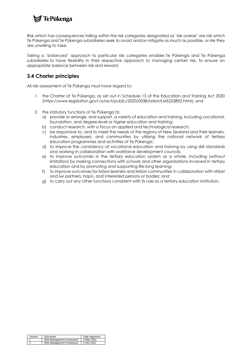

Risk which has consequences falling within the risk categories designated as 'risk averse' are risk which Te Pūkenga and Te Pūkenga subsidiaries seek to avoid and/or mitigate as much as possible, or risk they are unwilling to take.

Taking a 'balanced' approach to particular risk categories enables Te Pūkenga and Te Pūkenga subsidiaries to have flexibility in their respective approach to managing certain risk, to ensure an appropriate balance between risk and reward.

### <span id="page-8-0"></span>**3.4 Charter principles**

All risk assessment of Te Pūkenga must have regard to:

- 1. the Charter of Te Pūkenga, as set out in Schedule 13 of the Education and Training Act 2020 [\(https://www.legislation.govt.nz/act/public/2020/0038/latest/LMS253892.html\)](https://www.legislation.govt.nz/act/public/2020/0038/latest/LMS253892.html); and
- 2. the statutory functions of Te Pūkenga to:
	- a) provide or arrange, and support, a variety of education and training, including vocational, foundation, and degree-level or higher education and training;
	- b) conduct research, with a focus on applied and technological research;
	- c) be responsive to, and to meet the needs of the regions of New Zealand and their learners, industries, employers, and communities by utilising the national network of tertiary education programmes and activities of Te Pūkenga;
	- d) to improve the consistency of vocational education and training by using skill standards and working in collaboration with workforce development councils;
	- e) to improve outcomes in the tertiary education system as a whole, including (without limitation) by making connections with schools and other organisations involved in tertiary education and by promoting and supporting life-long learning;
	- f) to improve outcomes for Māori learners and Māori communities in collaboration with Māori and iwi partners, hapū, and interested persons or bodies; and
	- g) to carry out any other functions consistent with its role as a tertiary education institution.

|            | Version Document                     | Date Approved |
|------------|--------------------------------------|---------------|
|            | Risk Management Framework 4 May 2021 |               |
| $\epsilon$ | Risk Management Framework 2 Nov 2021 |               |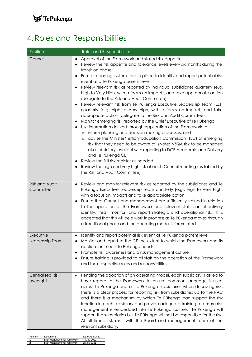

# <span id="page-9-0"></span>4. Roles and Responsibilities

| Position                             | Roles and Responsibilities                                                                                                                                                                                                                                                                                                                                                                                                                                                                                                                                                                                                                                                                                                                                                                                                                                                                                                                                                                                                                                                                                                                                                                                                                                                                                                                                                                                     |
|--------------------------------------|----------------------------------------------------------------------------------------------------------------------------------------------------------------------------------------------------------------------------------------------------------------------------------------------------------------------------------------------------------------------------------------------------------------------------------------------------------------------------------------------------------------------------------------------------------------------------------------------------------------------------------------------------------------------------------------------------------------------------------------------------------------------------------------------------------------------------------------------------------------------------------------------------------------------------------------------------------------------------------------------------------------------------------------------------------------------------------------------------------------------------------------------------------------------------------------------------------------------------------------------------------------------------------------------------------------------------------------------------------------------------------------------------------------|
| Council                              | Approval of the Framework and stated risk appetite<br>$\bullet$<br>Review the risk appetite and tolerance levels every six months during the<br>transition phase<br>Ensure reporting systems are in place to identify and report potential risk<br>$\bullet$<br>event at a Te Pūkenga parent level<br>Review relevant risk as reported by individual subsidiaries quarterly (e.g.<br>$\bullet$<br>High to Very High, with a focus on impact), and take appropriate action<br>(delegate to the Risk and Audit Committee)<br>Review relevant risk from Te Pükenga Executive Leadership Team (ELT)<br>٠<br>quarterly (e.g. High to Very High, with a focus on impact) and take<br>appropriate action (delegate to the Risk and Audit Committee)<br>Monitor emerging risk reported by the Chief Executive of Te Pūkenga<br>$\bullet$<br>Use information derived through application of the Framework to:<br>inform planning and decision-making processes; and<br>$\circ$<br>advise the Minister/Tertiary Education Commission (TEC) of emerging<br>$\circ$<br>risk that they need to be aware of. (Note: NZQA risk to be managed<br>at a subsidiary level but with reporting to DCE Academic and Delivery<br>and Te Pūkenga CE)<br>Review the full risk register as needed<br>$\bullet$<br>Review the high and very high risk at each Council meeting (as tabled by<br>$\bullet$<br>the Risk and Audit Committee) |
| <b>Risk and Audit</b><br>Committee   | Review and monitor relevant risk as reported by the subsidiaries and Te<br>$\bullet$<br>Pūkenga Executive Leadership Team quarterly (e.g., High to Very High,<br>with a focus on impact) and take appropriate action<br>Ensure that Council and management are sufficiently trained in relation<br>٠<br>to the operation of the Framework and relevant staff can effectively<br>identify, treat, monitor, and report strategic and operational risk. It is<br>accepted that this will be a work in progress as Te Pūkenga moves through<br>a transitional phase and the operating model is formulated                                                                                                                                                                                                                                                                                                                                                                                                                                                                                                                                                                                                                                                                                                                                                                                                          |
| Executive<br>Leadership Team         | Identify and report potential risk event at Te Pūkenga parent level<br>$\bullet$<br>Monitor and report to the CE the extent to which the Framework and its<br>application meets Te Pūkenga needs<br>Promote risk awareness and a risk management culture<br>$\bullet$<br>Ensure training is provided to all staff on the operation of the Framework<br>$\bullet$<br>and their respective roles and responsibilities                                                                                                                                                                                                                                                                                                                                                                                                                                                                                                                                                                                                                                                                                                                                                                                                                                                                                                                                                                                            |
| <b>Centralised Risk</b><br>oversight | Pending the adoption of an operating model, each subsidiary is asked to<br>$\bullet$<br>have regard to the Framework to ensure common language is used<br>across Te Pūkenga and all Te Pūkenga subsidiaries when discussing risk;<br>there is a clear process for reporting risk from subsidiaries up to the RAC<br>and there is a mechanism by which Te Pukenga can support the risk<br>function in each subsidiary and provide adequate training to ensure risk<br>management is embedded into Te Pūkenga culture. Te Pūkenga will<br>support the subsidiaries but Te Pūkenga will not be responsible for the risk.<br>At all times, risk rests with the Board and management team of the<br>relevant subsidiary.                                                                                                                                                                                                                                                                                                                                                                                                                                                                                                                                                                                                                                                                                            |

| Version Document                     | Date Approved |
|--------------------------------------|---------------|
| Risk Management Framework 4 May 2021 |               |
| Risk Management Framework 2 Nov 2021 |               |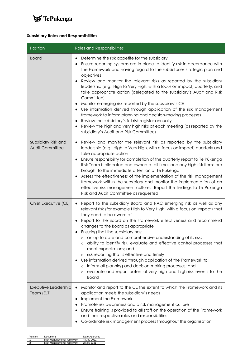

#### **Subsidiary Roles and Responsibilities**

| Position                                      | Roles and Responsibilities                                                                                                                                                                                                                                                                                                                                                                                                                                                                                                                                                                                                                                                                                                                                                                                                                                                                                              |
|-----------------------------------------------|-------------------------------------------------------------------------------------------------------------------------------------------------------------------------------------------------------------------------------------------------------------------------------------------------------------------------------------------------------------------------------------------------------------------------------------------------------------------------------------------------------------------------------------------------------------------------------------------------------------------------------------------------------------------------------------------------------------------------------------------------------------------------------------------------------------------------------------------------------------------------------------------------------------------------|
| <b>Board</b>                                  | Determine the risk appetite for the subsidiary<br>$\bullet$<br>Ensure reporting systems are in place to identify risk in accordance with<br>$\bullet$<br>the Framework and having regard to the subsidiaries strategic plan and<br>objectives<br>Review and monitor the relevant risks as reported by the subsidiary<br>$\bullet$<br>leadership (e.g., High to Very High, with a focus on impact) quarterly, and<br>take appropriate action (delegated to the subsidiary's Audit and Risk<br>Committee)<br>Monitor emerging risk reported by the subsidiary's CE<br>$\bullet$<br>Use information derived through application of the risk management<br>$\bullet$<br>framework to inform planning and decision-making processes<br>Review the subsidiary's full risk register annually<br>$\bullet$<br>Review the high and very high risks at each meeting (as reported by the<br>subsidiary's Audit and Risk Committee) |
| Subsidiary Risk and<br><b>Audit Committee</b> | Review and monitor the relevant risk as reported by the subsidiary<br>$\bullet$<br>leadership (e.g., High to Very High, with a focus on impact) quarterly and<br>take appropriate action<br>Ensure responsibility for completion of the quarterly report to Te Pulkenga<br>$\bullet$<br>Risk Team is allocated and owned at all times and any high-risk items are<br>brought to the immediate attention of Te Pūkenga<br>Assess the effectiveness of the implementation of the risk management<br>framework within the subsidiary and monitor the implementation of an<br>effective risk management culture. Report the findings to Te Pūkenga<br>Risk and Audit Committee as requested                                                                                                                                                                                                                                 |
| Chief Executive (CE)                          | Report to the subsidiary Board and RAC emerging risk as well as any<br>$\bullet$<br>relevant risk (for example High to Very High, with a focus on impact) that<br>they need to be aware of<br>Report to the Board on the Framework effectiveness and recommend<br>$\bullet$<br>changes to the Board as appropriate<br>Ensuring that the subsidiary has:<br>an up to date and comprehensive understanding of its risk;<br>$\circ$<br>ability to identify risk, evaluate and effective control processes that<br>O<br>meet expectations; and<br>risk reporting that is effective and timely<br>$\circ$<br>Use information derived through application of the Framework to:<br>inform all planning and decision-making processes; and<br>O<br>evaluate and report potential very high and high-risk events to the<br>$\circ$<br><b>Board</b>                                                                               |
| Executive Leadership<br>Team (ELT)            | Monitor and report to the CE the extent to which the Framework and its<br>$\bullet$<br>application meets the subsidiary's needs<br>Implement the Framework<br>٠<br>Promote risk awareness and a risk management culture<br>Ensure training is provided to all staff on the operation of the Framework<br>and their respective roles and responsibilities<br>Co-ordinate risk management process throughout the organisation                                                                                                                                                                                                                                                                                                                                                                                                                                                                                             |

| Version Document                     | Date Approved |
|--------------------------------------|---------------|
| Risk Management Framework 4 May 2021 |               |
| Risk Management Framework 2 Nov 2021 |               |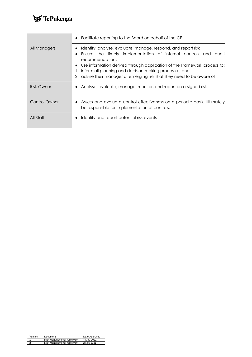

|               | Facilitate reporting to the Board on behalf of the CE<br>$\bullet$                                                                                                                                                                                                                                                                                                           |
|---------------|------------------------------------------------------------------------------------------------------------------------------------------------------------------------------------------------------------------------------------------------------------------------------------------------------------------------------------------------------------------------------|
| All Managers  | Identify, analyse, evaluate, manage, respond, and report risk<br>Ensure the timely implementation of internal controls and<br>auditl<br>recommendations<br>Use information derived through application of the Framework process to:<br>٠<br>inform all planning and decision-making processes; and<br>2. advise their manager of emerging risk that they need to be aware of |
| Risk Owner    | Analyse, evaluate, manage, monitor, and report on assigned risk                                                                                                                                                                                                                                                                                                              |
| Control Owner | Assess and evaluate control effectiveness on a periodic basis. Ultimately<br>be responsible for implementation of controls.                                                                                                                                                                                                                                                  |
| All Staff     | Identify and report potential risk events                                                                                                                                                                                                                                                                                                                                    |

| Version | Document                                                                     | Date Approved |
|---------|------------------------------------------------------------------------------|---------------|
|         | Risk Management Framework 4 May 2021<br>Risk Management Framework 2 Nov 2021 |               |
|         |                                                                              |               |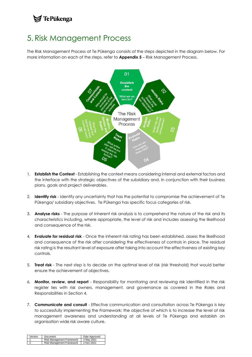### 7 Te Pūkenga

### <span id="page-12-0"></span>5. Risk Management Process

The Risk Management Process at Te Pūkenga consists of the steps depicted in the diagram below. For more information on each of the steps, refer to **Appendix 5** – Risk Management Process.



- 1. **Establish the Context** Establishing the context means considering internal and external factors and the interface with the strategic objectives of the subsidiary and, in conjunction with their business plans, goals and project deliverables.
- 2. **Identify risk** Identify any uncertainty that has the potential to compromise the achievement of Te Pūkenga/ subsidiary objectives. Te Pūkenga has specific focus categories of risk.
- 3. **Analyse risks** The purpose of inherent risk analysis is to comprehend the nature of the risk and its characteristics including, where appropriate, the level of risk and includes assessing the likelihood and consequence of the risk.
- 4. **Evaluate for residual risk** Once the inherent risk rating has been established, assess the likelihood and consequence of the risk after considering the effectiveness of controls in place. The residual risk rating is the resultant level of exposure after taking into account the effectiveness of existing key controls.
- 5. **Treat risk** The next step is to decide on the optimal level of risk (risk threshold) that would better ensure the achievement of objectives.
- 6. **Monitor, review, and report** Responsibility for monitoring and reviewing risk identified in the risk register lies with risk owners, management, and governance as covered in the Roles and Responsibilities in Section 4.
- 7. **Communicate and consult** Effective communication and consultation across Te Pūkenga is key to successfully implementing the Framework; the objective of which is to increase the level of risk management awareness and understanding at all levels of Te Pūkenga and establish an organisation wide risk aware culture.

|                | Version Document                                                             | Date Approved |
|----------------|------------------------------------------------------------------------------|---------------|
| $\overline{A}$ | Risk Management Framework 4 May 2021<br>Risk Management Framework 2 Nov 2021 |               |
|                |                                                                              |               |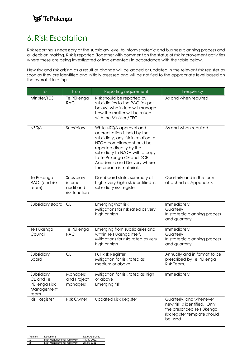### **S**TePūkenga

## <span id="page-13-0"></span>6. Risk Escalation

Risk reporting is necessary at the subsidiary level to inform strategic and business planning process and all decision making. Risk is reported (together with comment on the status of risk improvement activities where these are being investigated or implemented) in accordance with the table below.

New risk and risk arising as a result of change will be added or updated in the relevant risk register as soon as they are identified and initially assessed and will be notified to the appropriate level based on the overall risk rating.

| <b>To</b>                                                     | From                                                 | Reporting requirement                                                                                                                                                                                                                                                           | Frequency                                                                                                                        |
|---------------------------------------------------------------|------------------------------------------------------|---------------------------------------------------------------------------------------------------------------------------------------------------------------------------------------------------------------------------------------------------------------------------------|----------------------------------------------------------------------------------------------------------------------------------|
| Minister/TEC                                                  | Te Pūkenga<br><b>RAC</b>                             | Risk should be reported by<br>subsidiaries to the RAC (as per<br>below) who in turn will manage<br>how the matter will be raised<br>with the Minister / TEC.                                                                                                                    | As and when required                                                                                                             |
| <b>NZQA</b>                                                   | Subsidiary                                           | While NZQA approval and<br>accreditation is held by the<br>subsidiary, any risk in relation to<br>NZQA compliance should be<br>reported directly by the<br>subsidiary to NZQA with a copy<br>to Te Pūkenga CE and DCE<br>Academic and Delivery where<br>the breach is material. | As and when required                                                                                                             |
| Te Pūkenga<br>RAC (and risk<br>team)                          | Subsidiary<br>internal<br>audit and<br>risk function | Dashboard status summary of<br>high / very high risk identified in<br>subsidiary risk register                                                                                                                                                                                  | Quarterly and in the form<br>attached as Appendix 3                                                                              |
| Subsidiary Board                                              | $\mathsf{CE}% _{\mathcal{A}}$                        | Emerging/hot risk<br>Mitigations for risk rated as very<br>high or high                                                                                                                                                                                                         | Immediately<br>Quarterly<br>In strategic planning process<br>and quarterly                                                       |
| Te Pūkenga<br>Council                                         | Te Pūkenga<br><b>RAC</b>                             | Emerging from subsidiaries and<br>within Te Pūkenga itself.<br>Mitigations for risks rated as very<br>high or high                                                                                                                                                              | Immediately<br>Quarterly<br>In strategic planning process<br>and quarterly                                                       |
| Subsidiary<br><b>Board</b>                                    | CE                                                   | Full Risk Register<br>Mitigation for risk rated as<br>medium or above                                                                                                                                                                                                           | Annually and in format to be<br>prescribed by Te Pūkenga<br>Risk Team.                                                           |
| Subsidiary<br>CE and Te<br>Pūkenga Risk<br>Management<br>team | Managers<br>and Project<br>managers                  | Mitigation for risk rated as high<br>or above<br>Emerging risk                                                                                                                                                                                                                  | Immediately                                                                                                                      |
| <b>Risk Register</b>                                          | <b>Risk Owner</b>                                    | <b>Updated Risk Register</b>                                                                                                                                                                                                                                                    | Quarterly, and whenever<br>new risk is identified. Only<br>the prescribed Te Pūkenga<br>risk register template should<br>be used |

| Version Document |                                      | Date Approved |
|------------------|--------------------------------------|---------------|
| $\overline{a}$   | Risk Management Framework 4 May 2021 |               |
|                  | Risk Management Framework 2 Nov 2021 |               |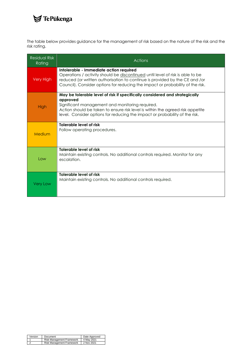# $\blacktriangleright$ TePūkenga

The table below provides guidance for the management of risk based on the nature of the risk and the risk rating.

| Residual Risk<br>Rating | <b>Actions</b>                                                                                                                                                                                                                                                                                              |
|-------------------------|-------------------------------------------------------------------------------------------------------------------------------------------------------------------------------------------------------------------------------------------------------------------------------------------------------------|
| Very High               | Intolerable - Immediate action required<br>Operations / activity should be discontinued until level of risk is able to be<br>reduced (or written authorisation to continue is provided by the CE and /or<br>Council). Consider options for reducing the impact or probability of the risk.                  |
| High                    | May be tolerable level of risk if specifically considered and strategically<br>approved<br>Significant management and monitoring required.<br>Action should be taken to ensure risk level is within the agreed risk appetite<br>level. Consider options for reducing the impact or probability of the risk. |
| Medium                  | Tolerable level of risk<br>Follow operating procedures.                                                                                                                                                                                                                                                     |
| l ow                    | Tolerable level of risk<br>Maintain existing controls. No additional controls required. Monitor for any<br>escalation.                                                                                                                                                                                      |
| Very Low                | Tolerable level of risk<br>Maintain existing controls. No additional controls required.                                                                                                                                                                                                                     |

| Version Document                     | Date Approved |
|--------------------------------------|---------------|
| Risk Management Framework 4 May 2021 |               |
| Risk Management Framework 2 Nov 2021 |               |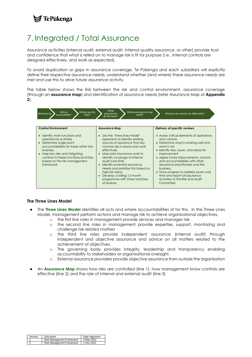### $\blacktriangleright$  TePūkenga

# <span id="page-15-0"></span>7. Integrated / Total Assurance

Assurance activities (internal audit, external audit, internal quality assurance, or other) provide trust and confidence that what is relied on to manage risk is fit for purpose (i.e., internal controls are designed effectively, and work as expected).

To avoid duplication or gaps in assurance coverage, Te Pūkenga and each subsidiary will explicitly define their respective assurance needs, understand whether (and where) these assurance needs are met and use this to drive future assurance activity.

The table below shows the link between the risk and control environment, assurance coverage (through an **assurance map**) and identification of assurance needs (refer Assurance Map at **Appendix 2**).

| Who is<br>Where are the<br>What we do<br>accountable?<br>risks?                                                                                                                                                                                                                                                                  | What<br>What assurance do we<br>assurances<br>need?<br>do we have?                                                                                                                                                                                                                                                                                                                                                                      | What do we need to do differently?                                                                                                                                                                                                                                                                                                                                                                                                                                      |
|----------------------------------------------------------------------------------------------------------------------------------------------------------------------------------------------------------------------------------------------------------------------------------------------------------------------------------|-----------------------------------------------------------------------------------------------------------------------------------------------------------------------------------------------------------------------------------------------------------------------------------------------------------------------------------------------------------------------------------------------------------------------------------------|-------------------------------------------------------------------------------------------------------------------------------------------------------------------------------------------------------------------------------------------------------------------------------------------------------------------------------------------------------------------------------------------------------------------------------------------------------------------------|
| <b>Control Environment</b><br>Identify main functions and<br>$\bullet$<br>operational activities<br>Determine single point<br>$\bullet$<br>accountabilities for these within the<br>business<br>Map key risks and mitigating<br>$\bullet$<br>controls to these functions/activities<br>based on the risk management<br>framework | <b>Assurance Map</b><br>• Use the 'three lines model'<br>approach to identify existing<br>sources of assurance that key<br>controls are in place and work<br>effectively<br>• Map prior Assurance work to<br>identify coverage of internal<br>audit over time<br>• Identify potential assurance<br>needs and prioritise this based on<br>high-risk areas<br>• Develop a rolling 12-month<br>programme with three tranches<br>of reviews | Delivery of specific reviews<br>• Assess critical elements of operations<br>and controls<br>• Determine what is working well and<br>what is not<br>• Identify risks, issues, and areas for<br>improvement<br>• Agree future improvements, actions<br>and accountabilities with other<br>assurance practitioners and the<br><b>business</b><br>• Track progress to address issues over<br>time and report all assurance<br>activities to the Risk and Audit<br>Committee |

#### **The Three Lines Model**

- The **Three Lines Model** identifies all acts and where accountabilities sit for this. In the Three Lines Model, management perform actions and manage risk to achieve organisational objectives.
	- o the first line roles in management provide services and manages risk
		- o the second line roles in management provide expertise, support, monitoring and challenge risk related matters
		- o the third line roles provide independent assurance (internal audit) through independent and objective assurance and advice on all matters related to the achievement of objectives.
		- o The governing body provides integrity, leadership and transparency enabling accountability to stakeholders or organisational oversight.
	- o External assurance providers provide objective assurance from outside the organisation
- An **Assurance Map** shows how risks are controlled (line 1), how management know controls are effective (line 2) and the role of internal and external audit (line 3)

| Version Document<br>Risk Management Framework | Date Approved |
|-----------------------------------------------|---------------|
|                                               | 4 May 2021    |
| <b>Risk Management Framework</b>              | 2 Nov 2021    |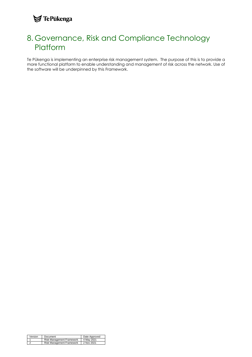### **S**TePūkenga

### <span id="page-16-0"></span>8. Governance, Risk and Compliance Technology **Platform**

Te Pūkenga is implementing an enterprise risk management system. The purpose of this is to provide a more functional platform to enable understanding and management of risk across the network. Use of the software will be underpinned by this Framework.

| Version Document                                                             | Date Approved |
|------------------------------------------------------------------------------|---------------|
| Risk Management Framework 4 May 2021<br>Risk Management Framework 2 Nov 2021 |               |
|                                                                              |               |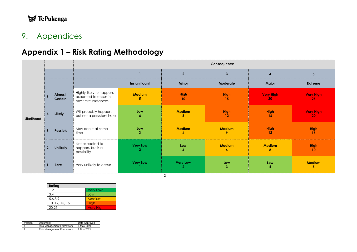# $\blacktriangleright$ TePūkenga

## 9. Appendices

# **Appendix 1 – Risk Rating Methodology**

|            |                 |                   |                                                                        |                       |                                   | Consequence                       |                         |                                |
|------------|-----------------|-------------------|------------------------------------------------------------------------|-----------------------|-----------------------------------|-----------------------------------|-------------------------|--------------------------------|
|            |                 |                   |                                                                        |                       | $\mathbf{2}$                      | $\mathbf{3}$                      | $\overline{\mathbf{A}}$ | $5\phantom{.0}$                |
|            |                 |                   |                                                                        | Insignificant         | Minor                             | Moderate                          | Major                   | <b>Extreme</b>                 |
|            | $5\overline{)}$ | Almost<br>Certain | Highly likely to happen,<br>expected to occur in<br>most circumstances | <b>Medium</b><br>5    | <b>High</b><br>10                 | <b>High</b><br>15                 | <b>Very High</b><br>20  | <b>Very High</b><br>25         |
| Likelihood | $\overline{4}$  | Likely            | Will probably happen,<br>but not a persistent issue                    | Low<br>4              | <b>Medium</b><br>8                | <b>High</b><br>12                 | <b>High</b><br>16       | <b>Very High</b><br>20         |
|            | $\mathbf{3}$    | Possible          | May occur at some<br>time                                              | Low<br>3              | <b>Medium</b><br>6                | <b>Medium</b><br>9                | <b>High</b><br>12       | <b>High</b><br>15              |
|            | $\overline{2}$  | <b>Unlikely</b>   | Not expected to<br>happen, but is a<br>possibility                     | <b>Very Low</b><br>-2 | Low<br>4                          | <b>Medium</b><br>$\boldsymbol{6}$ | <b>Medium</b><br>8      | <b>High</b><br>10 <sup>°</sup> |
|            |                 | Rare              | Very unlikely to occur                                                 | <b>Very Low</b>       | <b>Very Low</b><br>$\overline{2}$ | Low<br>$\mathbf{3}$               | Low<br>4                | <b>Medium</b><br>5             |

<span id="page-17-1"></span><span id="page-17-0"></span>

| Rating         |                  |
|----------------|------------------|
| 1.2            | <b>Very Low</b>  |
| 3.4            | Low              |
| 5,6,8,9        | Medium           |
| 10, 12, 15, 16 | High             |
| 20.25          | <b>Very High</b> |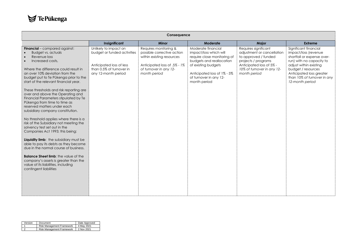$\blacktriangleright$ TePūkenga

|                                                                                                                                                                                                                                                                                                                                                                                                                                                                                                                                                                                                                                                                                                                                                                 |                                                                                                                                     | Consequence                                                                                                                                                |                                                                                                                                                                                                         |                                                                                                                                                                             |                                                                                                                                                                                                                                       |
|-----------------------------------------------------------------------------------------------------------------------------------------------------------------------------------------------------------------------------------------------------------------------------------------------------------------------------------------------------------------------------------------------------------------------------------------------------------------------------------------------------------------------------------------------------------------------------------------------------------------------------------------------------------------------------------------------------------------------------------------------------------------|-------------------------------------------------------------------------------------------------------------------------------------|------------------------------------------------------------------------------------------------------------------------------------------------------------|---------------------------------------------------------------------------------------------------------------------------------------------------------------------------------------------------------|-----------------------------------------------------------------------------------------------------------------------------------------------------------------------------|---------------------------------------------------------------------------------------------------------------------------------------------------------------------------------------------------------------------------------------|
|                                                                                                                                                                                                                                                                                                                                                                                                                                                                                                                                                                                                                                                                                                                                                                 | Insignificant                                                                                                                       | Minor                                                                                                                                                      | Moderate                                                                                                                                                                                                | Major                                                                                                                                                                       | <b>Extreme</b>                                                                                                                                                                                                                        |
| Financial - compared against:<br>Budget vs. actuals<br>Revenue loss<br>Increased costs,<br>Where the difference could result in<br>an over 10% deviation from the<br>budget put to Te Pūkenga prior to the<br>start of the relevant financial year.<br>These thresholds and risk reporting are<br>over and above the Operating and<br>Financial Parameters stipulated by Te<br>Pūkenga from time to time as<br>reserved matters under each<br>subsidiary company constitution.<br>No threshold applies where there is a<br>risk of the Subsidiary not meeting the<br>solvency test set out in the<br>Companies Act 1993; this being:<br>Liquidity limb: the subsidiary must be<br>able to pay its debts as they become<br>due in the normal course of business. | Unlikely to impact on<br>budget or funded activities<br>Anticipated loss of less<br>than 0.5% of turnover in<br>any 12-month period | Requires monitoring &<br>possible corrective action<br>within existing resources<br>Anticipated loss of .5% - 1%<br>of turnover in any 12-<br>month period | Moderate financial<br>impact/loss which will<br>require close monitoring of<br>budgets and reallocation<br>of existing budgets<br>Anticipated loss of 1% - 5%<br>of turnover in any 12-<br>month period | Requires significant<br>adjustment or cancellation<br>to approved / funded<br>projects / programs<br>Anticipated loss of 5% -<br>10% of turnover in any 12-<br>month period | Significant financial<br>impact/loss (revenue<br>shortfall or expense over-<br>run) with no capacity to<br>adjust within existing<br>budget / resources<br>Anticipated loss greater<br>than 10% of turnover in any<br>12-month period |
| <b>Balance Sheet limb:</b> the value of the<br>company's assets is greater than the<br>value of its liabilities, including<br>contingent liabilities                                                                                                                                                                                                                                                                                                                                                                                                                                                                                                                                                                                                            |                                                                                                                                     |                                                                                                                                                            |                                                                                                                                                                                                         |                                                                                                                                                                             |                                                                                                                                                                                                                                       |

| Version Document                     | Date Approved |
|--------------------------------------|---------------|
| Risk Management Framework 4 May 2021 |               |
| Risk Management Framework 2 Nov 2021 |               |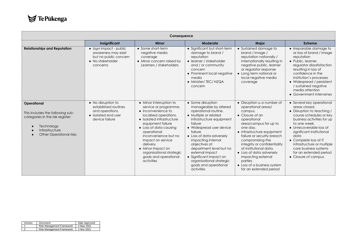

|                                                                                                                                                                    |                                                                                                                  | Consequence                                                                                                                                                                                                                                                                                                                                         |                                                                                                                                                                                                                                                                                                                                                                                          |                                                                                                                                                                                                                                                                                                                                                                                                             |                                                                                                                                                                                                                                                                                                                                                    |
|--------------------------------------------------------------------------------------------------------------------------------------------------------------------|------------------------------------------------------------------------------------------------------------------|-----------------------------------------------------------------------------------------------------------------------------------------------------------------------------------------------------------------------------------------------------------------------------------------------------------------------------------------------------|------------------------------------------------------------------------------------------------------------------------------------------------------------------------------------------------------------------------------------------------------------------------------------------------------------------------------------------------------------------------------------------|-------------------------------------------------------------------------------------------------------------------------------------------------------------------------------------------------------------------------------------------------------------------------------------------------------------------------------------------------------------------------------------------------------------|----------------------------------------------------------------------------------------------------------------------------------------------------------------------------------------------------------------------------------------------------------------------------------------------------------------------------------------------------|
|                                                                                                                                                                    | Insignificant                                                                                                    | <b>Minor</b>                                                                                                                                                                                                                                                                                                                                        | Moderate                                                                                                                                                                                                                                                                                                                                                                                 | Major                                                                                                                                                                                                                                                                                                                                                                                                       | Extreme                                                                                                                                                                                                                                                                                                                                            |
| <b>Relationships and Reputation</b>                                                                                                                                | • Slight impact - public<br>awareness may exist<br>but no public concern<br>$\bullet$ No stakeholder<br>concerns | • Some short-term<br>negative media<br>coverage<br>• Minor concern raised by<br>Learners / stakeholders                                                                                                                                                                                                                                             | • Significant but short-term<br>damage to brand /<br>reputation<br>• learner / stakeholder<br>and / or community<br>concern<br>• Prominent local negative<br>media<br>• Minister/ TEC/ NZQA<br>concern                                                                                                                                                                                   | • Sustained damage to<br>brand / image /<br>reputation nationally /<br>internationally resulting in<br>negative public, learner<br>or regulator response<br>• Long term national or<br>local negative media<br>coverage                                                                                                                                                                                     | • Irreparable damage to<br>or loss of brand / image<br>reputation<br>• Public, learner,<br>regulator dissatisfaction<br>resulting in loss of<br>confidence in the<br>Institution's processes<br>• Widespread / persistent<br>/ sustained negative<br>media attention<br>• Government intervenes                                                    |
| Operational<br>This includes the following sub-<br>categories in the risk register:<br>Technology<br>$\bullet$<br>Infrastructure<br><b>Other Operational risks</b> | • No disruption to<br>established routines<br>and operations.<br>• Isolated end user<br>device failure           | • Minor interruption to<br>service or programme.<br>$\bullet$ Inconvenience to<br>localised operations.<br>• Isolated infrastructure<br>equipment failure<br>• Loss of data causing<br>operational<br>inconvenience but no<br>impact on service<br>delivery<br>• Minor impact on<br>organisational strategic<br>goals and operational<br>activities | • Some disruption<br>manageable by altered<br>operational routine.<br>• Multiple or related<br>infrastructure equipment<br>failure<br>• Widespread user device<br>failure<br>• Loss of data adversely<br>impacting internal<br>objectives at<br>department level but no<br>external impact<br>• Significant impact on<br>organisational strategic<br>goals and operational<br>activities | • Disruption to a number of<br>operational areas/<br>campus.<br>$\bullet$ Closure of an<br>operational<br>area/campus for up to<br>one day.<br>• Infrastructure equipment<br>failure or security breach<br>compromising the<br>integrity or confidentiality<br>of institutional data.<br>• Loss of data adversely<br>impacting external<br>parties<br>• Loss of a business system<br>for an extended period | • Several key operational<br>areas closed.<br>• Disruption to teaching /<br>course schedules or key<br>business activities for up<br>to one week.<br>• Unrecoverable loss of<br>significant institutional<br>data<br>• Complete loss of IT<br>infrastructure or multiple<br>core business systems<br>for an extended period<br>• Closure of campus |

| Version Document<br>Date Approved    |
|--------------------------------------|
| Risk Management Framework 4 May 2021 |
| Risk Management Framework 2 Nov 2021 |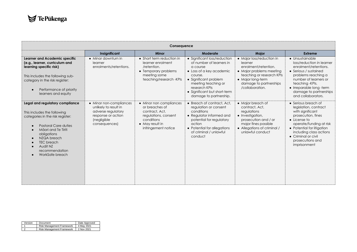|                                                                                                                                                                                                                                                              |                                                                                                                              | Consequence                                                                                                                                 |                                                                                                                                                                                                                                        |                                                                                                                                                                                         |                                                                                                                                                                                                                                                               |
|--------------------------------------------------------------------------------------------------------------------------------------------------------------------------------------------------------------------------------------------------------------|------------------------------------------------------------------------------------------------------------------------------|---------------------------------------------------------------------------------------------------------------------------------------------|----------------------------------------------------------------------------------------------------------------------------------------------------------------------------------------------------------------------------------------|-----------------------------------------------------------------------------------------------------------------------------------------------------------------------------------------|---------------------------------------------------------------------------------------------------------------------------------------------------------------------------------------------------------------------------------------------------------------|
|                                                                                                                                                                                                                                                              | Insignificant                                                                                                                | Minor                                                                                                                                       | Moderate                                                                                                                                                                                                                               | <b>Major</b>                                                                                                                                                                            | Extreme                                                                                                                                                                                                                                                       |
| Learner and Academic specific<br>(e.g., learner, curriculum and<br>learning specific risk)<br>This includes the following sub-<br>category in the risk register:<br>Performance of priority<br>$\bullet$<br>learners and equity                              | • Minor downturn in<br>learner<br>enrolments/retentions.                                                                     | • Short term reduction in<br>learner enrolment<br>/retention.<br>• Temporary problems<br>meeting some<br>teaching/research -KPIs            | • Significant loss/reduction<br>of number of learners in<br>a course<br>• Loss of a key academic<br>course.<br>• Significant problem<br>meeting teaching or<br>research KPIs<br>• Significant but short-term<br>damage to partnership. | • Major loss/reduction in<br>learner<br>enrolment/retention.<br>• Major problems meeting<br>teaching or research KPIs<br>• Major long-term<br>damage to partnerships<br>/collaboration. | • Unsustainable<br>loss/reduction in learner<br>enrolment/retentions.<br>• Serious / sustained<br>problems reaching a<br>number of learners or<br>teaching - KPIs.<br>• Irreparable long-term<br>damage to partnerships<br>and collaborators.                 |
| Legal and regulatory compliance<br>This includes the following<br>categories in the risk register:<br><b>Pastoral Care duties</b><br>Māori and Te Tiriti<br>obligations<br>NZQA breach<br><b>TEC</b> breach<br>Audit NZ<br>recommendation<br>WorkSafe breach | • Minor non-compliances<br>unlikely to result in<br>adverse regulatory<br>response or action<br>(negligible<br>consequences) | • Minor non compliances<br>or breaches of<br>contract, Act,<br>regulations, consent<br>conditions<br>• May result in<br>infringement notice | • Breach of contract, Act,<br>regulation or consent<br>conditions<br>• Regulator informed and<br>potential for regulatory<br>action<br>• Potential for allegations<br>of criminal / unlawful<br>conduct                                | • Major breach of<br>contract, Act,<br>regulations<br>• Investigation,<br>prosecution and / or<br>major fines possible<br>• Allegations of criminal /<br>unlawful conduct               | • Serious breach of<br>legislation, contract<br>with significant<br>prosecution, fines<br>$\bullet$ License to<br>operate/funding at risk<br>• Potential for litigation<br>including class actions<br>• Criminal or civil<br>prosecutions and<br>imprisonment |

|        | Version Document                       | Date Approved |
|--------|----------------------------------------|---------------|
|        | Risk Management Framework 4 May 2021   |               |
| $\sim$ | 2 Risk Management Framework 2 Nov 2021 |               |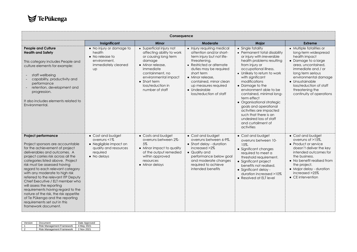

|                                                                                                                                                                                                                                                                                                                                                                                                                                                                                                                                                                                                   |                                                                                                                    | Consequence                                                                                                                                                                                                                 |                                                                                                                                                                                                                                                                                           |                                                                                                                                                                                                                                                                                                                                                                                                                                                                                                 |                                                                                                                                                                                                                                                                                |
|---------------------------------------------------------------------------------------------------------------------------------------------------------------------------------------------------------------------------------------------------------------------------------------------------------------------------------------------------------------------------------------------------------------------------------------------------------------------------------------------------------------------------------------------------------------------------------------------------|--------------------------------------------------------------------------------------------------------------------|-----------------------------------------------------------------------------------------------------------------------------------------------------------------------------------------------------------------------------|-------------------------------------------------------------------------------------------------------------------------------------------------------------------------------------------------------------------------------------------------------------------------------------------|-------------------------------------------------------------------------------------------------------------------------------------------------------------------------------------------------------------------------------------------------------------------------------------------------------------------------------------------------------------------------------------------------------------------------------------------------------------------------------------------------|--------------------------------------------------------------------------------------------------------------------------------------------------------------------------------------------------------------------------------------------------------------------------------|
|                                                                                                                                                                                                                                                                                                                                                                                                                                                                                                                                                                                                   | Insignificant                                                                                                      | <b>Minor</b>                                                                                                                                                                                                                | Moderate                                                                                                                                                                                                                                                                                  | <b>Major</b>                                                                                                                                                                                                                                                                                                                                                                                                                                                                                    | Extreme                                                                                                                                                                                                                                                                        |
| <b>People and Culture</b><br><b>Health and Safety</b><br>This category includes People and<br>culture elements for example:<br>staff wellbeing<br>capability, productivity and<br>performance<br>retention, development and<br>progression.<br>It also includes elements related to<br>Environmental.                                                                                                                                                                                                                                                                                             | • No injury or damage to<br>health<br>• No release to<br>environment,<br>immediately cleaned<br>Up                 | • Superficial injury not<br>affecting ability to work<br>or causing long term<br>damage<br>• Minor release.<br>immediate<br>containment, no<br>environmental impact<br>• Short term<br>loss/reduction in<br>number of staff | • Injury requiring medical<br>attention and/or short-<br>term injury but not life-<br>threatening.<br>• Restricted or alternate<br>duties may be required<br>short term<br>• Minor release.<br>contained, minor clean<br>up measures required<br>• Undesirable<br>loss/reduction of staff | • Single fatality<br>• Permanent total disability<br>or injury with irreversible<br>health problems resulting<br>from injury or<br>occupational illness.<br>• Unlikely to return to work<br>with significant<br>modifications<br>• Damage to the<br>environment able to be<br>contained, minimal long-<br>term effect<br>• Organisational strategic<br>goals and operational<br>activities are impacted<br>such that there is an<br>undesired loss of staff<br>and curtailment of<br>activities | • Multiple fatalities or<br>long-term widespread<br>health impact<br>• Damage to a large<br>area, uncontained,<br>immediate and / or<br>long term serious<br>environmental damage<br>• Unsustainable<br>loss/reduction of staff<br>threatening the<br>continuity of operations |
| <b>Project performance</b><br>Project sponsors are accountable<br>for the achievement of project<br>deliverables and outcomes. A<br>project carries risk across all the<br>categories listed above. Project<br>risk must be assessed having<br>regard to each relevant category<br>with any moderate to high risk<br>referred to the relevant ITP Deputy<br>Chief Executive / ELT member who<br>will assess the reporting<br>requirements having regard to the<br>nature of the risk, the risk appetite<br>of Te Pūkenga and the reporting<br>requirements set out in this<br>framework document. | • Cost and budget<br>overruns $<$ 1%<br>• Negligible impact on<br>quality and resources<br>reauired<br>• No delays | • Costs and budget<br>overruns between 2%-<br>5%<br>• Minor impact to quality<br>of the output remedied<br>within approved<br>resources<br>• Minor delays                                                                   | • Cost and budget<br>overruns between 6-9%.<br>• Short delay - duration<br>increased >2%<br>• Quality and<br>performance below goal<br>and moderate changes<br>required to achieve<br>intended benefits                                                                                   | • Cost and budget<br>overruns between 10-<br>15%.<br>• Significant changes<br>required to meet a<br>threshold requirement.<br>• Significant project<br>benefits not realised.<br>• Significant delay -<br>duration increased >10%<br>• Resolved at ELT level                                                                                                                                                                                                                                    | • Cost and budget<br>overruns of $>15\%$ .<br>• Product or service<br>doesn't deliver the key<br>intended outcomes for<br>the business.<br>• No benefit realised from<br>the project.<br>• Major delay - duration<br>$increased > 25\%$<br>$\bullet$ CE intervention           |

|        | Variation Document<br>Risk Management Framework 4 May 2021 |  |
|--------|------------------------------------------------------------|--|
|        |                                                            |  |
| $\sim$ | Risk Management Framework 2 Nov 2021                       |  |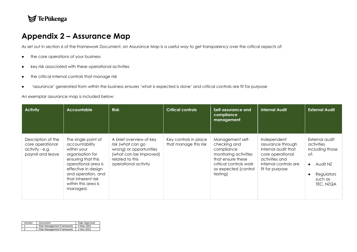### TePūkenga

### **Appendix 2 – Assurance Map**

As set out in section 6 of the Framework Document, an Assurance Map is a useful way to get transparency over the critical aspects of:

- the core operations of your business
- key risk associated with these operational activities
- the critical internal controls that manage risk
- 'assurance' generated from within the business ensures 'what is expected is done' and critical controls are fit for purpose

An exemplar assurance map is included below:

<span id="page-22-0"></span>

| <b>Activity</b>                                                                | <b>Accountable</b>                                                                                                                                                                                                          | <b>Risk</b>                                                                                                                                  | <b>Critical controls</b>                       | Self-assurance and<br>compliance<br>management                                                                                                             | <b>Internal Audit</b>                                                                                                                     | <b>External Audit</b>                                                                                                 |
|--------------------------------------------------------------------------------|-----------------------------------------------------------------------------------------------------------------------------------------------------------------------------------------------------------------------------|----------------------------------------------------------------------------------------------------------------------------------------------|------------------------------------------------|------------------------------------------------------------------------------------------------------------------------------------------------------------|-------------------------------------------------------------------------------------------------------------------------------------------|-----------------------------------------------------------------------------------------------------------------------|
| Description of the<br>core operational<br>activity - e.g.<br>payroll and leave | The single point of<br>accountability<br>within your<br>organisation for<br>ensuring that this<br>operational area is<br>effective in design<br>and operation, and<br>that inherent risk<br>within this area is<br>managed. | A brief overview of key<br>risk (what can go<br>wrong) or opportunities<br>(what can be improved)<br>related to this<br>operational activity | Key controls in place<br>that manage this risk | Management self-<br>checking and<br>compliance<br>monitoring activities<br>that ensure these<br>critical controls work<br>as expected (control<br>testing) | Independent<br>assurance through<br>internal audit that<br>core operational<br>activities and<br>internal controls are<br>fit for purpose | External audit<br>activities<br>including those<br>of:<br>Audit NZ<br>$\bullet$<br>Regulators<br>such as<br>TEC, NZQA |

| Triversion Document<br>Risk Management Framework   4 map | Date Approved |
|----------------------------------------------------------|---------------|
|                                                          | 4 May 2021    |
| Risk Management Framework 2 Nov 2021                     |               |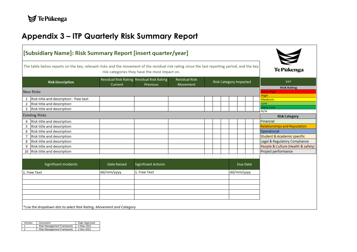# **Appendix 3 – ITP Quarterly Risk Summary Report**

| [Subsidiary Name]: Risk Summary Report [insert quarter/year]                                                                                 |             |                                                       |                                         |                               |                                        |
|----------------------------------------------------------------------------------------------------------------------------------------------|-------------|-------------------------------------------------------|-----------------------------------------|-------------------------------|----------------------------------------|
| The table below reports on the key, relevant risks and the movement of the residual risk rating since the last reporting period, and the key |             | risk categories they have the most impact on.         |                                         |                               | Te Pūkenga                             |
| <b>Risk Description</b>                                                                                                                      | Current     | Residual Risk Rating Residual Risk Rating<br>Previous | <b>Residual Risk</b><br><b>Movement</b> | <b>Risk Category Impacted</b> | <b>KEY</b>                             |
| <b>New Risks</b>                                                                                                                             |             |                                                       |                                         |                               | <b>Risk Rating</b><br><b>Very High</b> |
|                                                                                                                                              |             |                                                       |                                         |                               | <b>High</b>                            |
| 1 Risk title and description - free text                                                                                                     |             |                                                       |                                         |                               | <b>Medium</b><br>Low                   |
| Risk title and description<br>$\overline{2}$                                                                                                 |             |                                                       |                                         |                               | Very Low                               |
| Risk title and description<br>3                                                                                                              |             |                                                       |                                         |                               | N/A                                    |
| <b>Existing Risks</b>                                                                                                                        |             |                                                       |                                         |                               | <b>Risk Category</b>                   |
| Risk title and description<br>4                                                                                                              |             |                                                       |                                         |                               | Financial                              |
| Risk title and description<br>5                                                                                                              |             |                                                       |                                         |                               | <b>Relationships and Reputation</b>    |
| Risk title and description<br>6                                                                                                              |             |                                                       |                                         |                               | Operational                            |
| Risk title and description<br>7                                                                                                              |             |                                                       |                                         |                               | <b>Student &amp; Academic specific</b> |
| Risk title and description<br>8                                                                                                              |             |                                                       |                                         |                               | Legal & Regulatory Compliance          |
| Risk title and description<br>9                                                                                                              |             |                                                       |                                         |                               | People & Culture (Health & safety)     |
| <b>Risk title and description</b><br>10                                                                                                      |             |                                                       |                                         |                               | Project performance                    |
| <b>Significant Incidents</b>                                                                                                                 | Date Raised | <b>Significant Actions</b>                            |                                         | Due Date                      |                                        |
| 1. Free Text                                                                                                                                 | dd/mm/yyyy  | 1. Free Text                                          |                                         | dd/mm/yyyy                    |                                        |
|                                                                                                                                              |             |                                                       |                                         |                               |                                        |
|                                                                                                                                              |             |                                                       |                                         |                               |                                        |
|                                                                                                                                              |             |                                                       |                                         |                               |                                        |
| *Use the dropdown lists to select Risk Rating, Movement and Category                                                                         |             |                                                       |                                         |                               |                                        |

<span id="page-23-0"></span>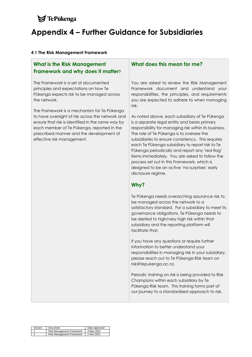# <span id="page-24-0"></span> $\blacktriangleright$  TePukenga **Appendix 4 – Further Guidance for Subsidiaries**

#### **4.1 The Risk Management Framework**

### **What is the Risk Management Framework and why does it matter?**

The Framework is a set of documented principles and expectations on how Te Pūkenga expects risk to be managed across the network.

The Framework is a mechanism for Te Pūkenga to have oversight of risk across the network and ensure that risk is identified in the same way by each member of Te Pūkenga, reported in the prescribed manner and the development of effective risk management.

### **What does this mean for me?**

You are asked to review the Risk Management Framework document and understand your responsibilities, the principles, and requirements you are expected to adhere to when managing risk.

As noted above, each subsidiary of Te Pūkenga is a separate legal entity and bears primary responsibility for managing risk within its business. The role of Te Pūkenga is to oversee the subsidiaries to ensure consistency. This requires each Te Pūkenga subsidiary to report risk to Te Pūkenga periodically and report any 'red-flag' items immediately. You are asked to follow the process set out in this Framework, which is designed to be an active 'no-surprises' early disclosure regime.

### **Why?**

Te Pūkenga needs overarching assurance risk to be managed across the network to a satisfactory standard. For a subsidiary to meet its governance obligations, Te Pūkenga needs to be alerted to high/very high risk within that subsidiary and the reporting platform will facilitate that.

If you have any questions or require further information to better understand your responsibilities in managing risk in your subsidiary, please reach out to Te Pūkenga Risk team on risk@tepukenga.ac.nz.

Periodic training on risk is being provided to Risk Champions within each subsidiary by Te Pūkenga Risk team. This training forms part of our journey to a standardised approach to risk.

| Version Document          | Date Approved |
|---------------------------|---------------|
| Risk Management Framework | 4 May 2021    |
| Risk Management Framework | 2 Nov 2021    |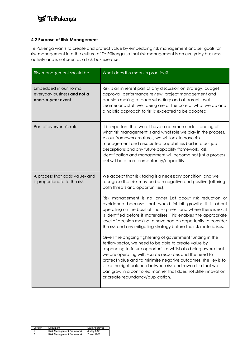### **S**TePūkenga

#### **4.2 Purpose of Risk Management**

Te Pūkenga wants to create and protect value by embedding risk management and set goals for risk management into the culture of Te Pūkenga so that risk management is an everyday business activity and is not seen as a tick-box exercise.

| Risk management should be                                                  | What does this mean in practice?                                                                                                                                                                                                                                                                                                                                                                                                                                                                                                                                                                                                                                                                                                                                                                                                                                                                                                                                                                                                                                                |
|----------------------------------------------------------------------------|---------------------------------------------------------------------------------------------------------------------------------------------------------------------------------------------------------------------------------------------------------------------------------------------------------------------------------------------------------------------------------------------------------------------------------------------------------------------------------------------------------------------------------------------------------------------------------------------------------------------------------------------------------------------------------------------------------------------------------------------------------------------------------------------------------------------------------------------------------------------------------------------------------------------------------------------------------------------------------------------------------------------------------------------------------------------------------|
| Embedded in our normal<br>everyday business and not a<br>once-a-year event | Risk is an inherent part of any discussion on strategy, budget<br>approval, performance review, project management and<br>decision making at each subsidiary and at parent level.<br>Learner and staff well-being are at the core of what we do and<br>a holistic approach to risk is expected to be adopted.                                                                                                                                                                                                                                                                                                                                                                                                                                                                                                                                                                                                                                                                                                                                                                   |
| Part of everyone's role                                                    | It is important that we all have a common understanding of<br>what risk management is and what role we play in the process.<br>As our framework matures, we will look to have risk<br>management and associated capabilities built into our job<br>descriptions and any future capability framework. Risk<br>identification and management will become not just a process<br>but will be a core competency/capability.                                                                                                                                                                                                                                                                                                                                                                                                                                                                                                                                                                                                                                                          |
| A process that adds value- and<br>is proportionate to the risk             | We accept that risk taking is a necessary condition, and we<br>recognise that risk may be both negative and positive (offering<br>both threats and opportunities).<br>Risk management is no longer just about risk reduction or<br>avoidance because that would inhibit growth; it is about<br>operating on the basis of "no surprises" and where there is risk, it<br>is identified before it materialises. This enables the appropriate<br>level of decision making to have had an opportunity to consider<br>the risk and any mitigating strategy before the risk materialises.<br>Given the ongoing tightening of government funding in the<br>tertiary sector, we need to be able to create value by<br>responding to future opportunities whilst also being aware that<br>we are operating with scarce resources and the need to<br>protect value and to minimise negative outcomes. The key is to<br>strike the right balance between risk and reward so that we<br>can grow in a controlled manner that does not stifle innovation<br>or create redundancy/duplication. |

| Version Document                     | Date Approved |
|--------------------------------------|---------------|
| Risk Management Framework 4 May 2021 |               |
| Risk Management Framework 2 Nov 2021 |               |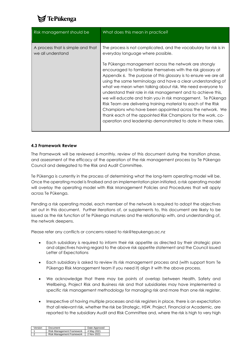

| Risk management should be                              | What does this mean in practice?                                                                                                                                                                                                                                                                                                                                                                                                                                                                                                                                                                                                                                                                                                                                                                                                   |
|--------------------------------------------------------|------------------------------------------------------------------------------------------------------------------------------------------------------------------------------------------------------------------------------------------------------------------------------------------------------------------------------------------------------------------------------------------------------------------------------------------------------------------------------------------------------------------------------------------------------------------------------------------------------------------------------------------------------------------------------------------------------------------------------------------------------------------------------------------------------------------------------------|
| A process that is simple and that<br>we all understand | The process is not complicated, and the vocabulary for risk is in<br>everyday language where possible.<br>Te Pükenga management across the network are strongly<br>encouraged to familiarise themselves with the risk glossary at<br>Appendix 6. The purpose of this glossary is to ensure we are all<br>using the same terminology and have a clear understanding of<br>what we mean when talking about risk. We need everyone to<br>understand their role in risk management and to achieve this,<br>we will educate and train you in risk management. Te Pükenga<br>Risk Team are delivering training material to each of the Risk<br>Champions who have been appointed across the network. We<br>thank each of the appointed Risk Champions for the work, co-<br>operation and leadership demonstrated to date in these roles. |

#### **4.3 Framework Review**

The Framework will be reviewed 6-monthly. review of this document during the transition phase, and assessment of the efficacy of the operation of the risk management process by Te Pūkenga Council and delegated to the Risk and Audit Committee.

Te Pūkenga is currently in the process of determining what the long-term operating model will be. Once the operating model is finalised and an implementation plan initiated, a risk operating model will overlay the operating model with Risk Management Policies and Procedures that will apply across Te Pūkenga.

Pending a risk operating model, each member of the network is required to adopt the objectives set out in this document. Further iterations of, or supplements to, this document are likely to be issued as the risk function of Te Pūkenga matures and the relationship with, and understanding of, the network deepens.

Please refer any conflicts or concerns raised to risk@tepukenga.ac.nz

- Each subsidiary is required to inform their risk appetite as directed by their strategic plan and objectives having regard to the above risk appetite statement and the Council issued Letter of Expectations
- Each subsidiary is asked to review its risk management process and (with support from Te Pūkenga Risk Management team if you need it) align it with the above process.
- We acknowledge that there may be points of overlap between Health, Safety and Wellbeing, Project Risk and Business risk and that subsidiaries may have implemented a specific risk management methodology for managing risk and more than one risk register.
- Irrespective of having multiple processes and risk registers in place, there is an expectation that all relevant risk, whether the risk be Strategic, HSW, Project, Financial or Academic, are reported to the subsidiary Audit and Risk Committee and, where the risk is high to very high

| Version Document<br>Date Approved      |
|----------------------------------------|
| Risk Management Framework   4 May 2021 |
| Risk Management Framework 2 Nov 2021   |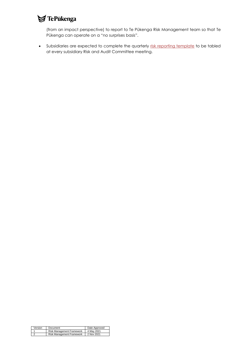# $\blacktriangleright$ TePūkenga

(from an impact perspective) to report to Te Pūkenga Risk Management team so that Te Pūkenga can operate on a "no surprises basis".

• Subsidiaries are expected to complete the quarterly [risk reporting template](about:blank) to be tabled at every subsidiary Risk and Audit Committee meeting.

|        | Version Document<br>Date Approved    |
|--------|--------------------------------------|
|        | Risk Management Framework 4 May 2021 |
| $\sim$ | Risk Management Framework 2 Nov 2021 |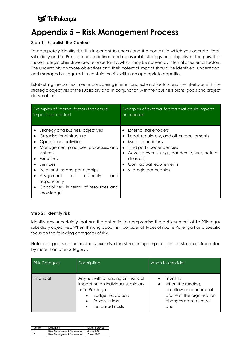# **S**TePukenga

## <span id="page-28-0"></span>**Appendix 5 – Risk Management Process**

#### **Step 1: Establish the Context**

To adequately identify risk, it is important to understand the context in which you operate. Each subsidiary and Te Pūkenga has a defined and measurable strategy and objectives. The pursuit of those strategic objectives create uncertainty, which may be caused by internal or external factors. The uncertainty on those objectives and their potential impact should be identified, understood, and managed as required to contain the risk within an appropriate appetite.

Establishing the context means considering internal and external factors and the interface with the strategic objectives of the subsidiary and, in conjunction with their business plans, goals and project deliverables.

| Examples of internal factors that could                                                                                                                                                                                                                                                                                              | Examples of external factors that could impact                                                                                                                                                                                                       |  |  |
|--------------------------------------------------------------------------------------------------------------------------------------------------------------------------------------------------------------------------------------------------------------------------------------------------------------------------------------|------------------------------------------------------------------------------------------------------------------------------------------------------------------------------------------------------------------------------------------------------|--|--|
| impact our context                                                                                                                                                                                                                                                                                                                   | our context                                                                                                                                                                                                                                          |  |  |
| Strategy and business objectives<br>Organisational structure<br>Operational activities<br>Management practices, processes, and<br>$\bullet$<br>systems<br><b>Functions</b><br>Services<br>Relationships and partnerships<br>Assignment of authority<br>and<br>responsibility<br>Capabilities, in terms of resources and<br>knowledge | External stakeholders<br>Legal, regulatory, and other requirements<br>Market conditions<br>Third party dependencies<br>$\bullet$<br>Adverse events (e.g., pandemic, war, natural<br>disasters)<br>Contractual requirements<br>Strategic partnerships |  |  |

### **Step 2: Identify risk**

Identify any uncertainty that has the potential to compromise the achievement of Te Pūkenga/ subsidiary objectives. When thinking about risk, consider all types of risk. Te Pūkenga has a specific focus on the following categories of risk.

Note: categories are not mutually exclusive for risk reporting purposes (i.e., a risk can be impacted by more than one category).

| <b>Risk Category</b> | <b>Description</b>                                                                                                                                                 | When to consider                                                                                                      |
|----------------------|--------------------------------------------------------------------------------------------------------------------------------------------------------------------|-----------------------------------------------------------------------------------------------------------------------|
| Financial            | Any risk with a funding or financial<br>impact on an individual subsidiary<br>or Te Pūkenga:<br>Budget vs. actuals<br>$\bullet$<br>Revenue loss<br>Increased costs | monthly<br>when the funding,<br>cashflow or economical<br>profile of the organisation<br>changes dramatically;<br>and |

| Version Document | Date Approved                        |
|------------------|--------------------------------------|
| $\overline{a}$   | Risk Management Framework 4 May 2021 |
|                  | Risk Management Framework 2 Nov 2021 |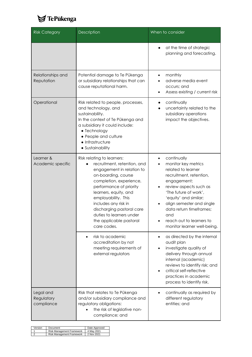

| <b>Risk Category</b>                  | Description                                                                                                                                                                                                                                                                                                                                    | When to consider                                                                                                                                                                                                                                                                                              |
|---------------------------------------|------------------------------------------------------------------------------------------------------------------------------------------------------------------------------------------------------------------------------------------------------------------------------------------------------------------------------------------------|---------------------------------------------------------------------------------------------------------------------------------------------------------------------------------------------------------------------------------------------------------------------------------------------------------------|
|                                       |                                                                                                                                                                                                                                                                                                                                                | at the time of strategic<br>planning and forecasting.                                                                                                                                                                                                                                                         |
| Relationships and<br>Reputation       | Potential damage to Te Pūkenga<br>or subsidiary relationships that can<br>cause reputational harm.                                                                                                                                                                                                                                             | monthly<br>٠<br>adverse media event<br>occurs; and<br>Assess existing / current risk                                                                                                                                                                                                                          |
| Operational                           | Risk related to people, processes,<br>and technology, and<br>sustainability.<br>In the context of Te Pūkenga and<br>a subsidiary it could include:<br>• Technology<br>• People and culture<br>• Infrastructure<br>• Sustainability                                                                                                             | continually<br>uncertainty related to the<br>subsidiary operations<br>impact the objectives.                                                                                                                                                                                                                  |
| Learner &<br>Academic specific        | Risk relating to learners:<br>recruitment, retention, and<br>engagement in relation to<br>on-boarding, course<br>completion, experience,<br>performance of priority<br>learners, equity, and<br>employability. This<br>includes any risk in<br>discharging pastoral care<br>duties to learners under<br>the applicable pastoral<br>care codes. | continually<br>٠<br>monitor key metrics<br>related to learner<br>recruitment, retention,<br>engagement;<br>review aspects such as<br>'The future of work',<br>'equity' and similar;<br>align semester and single<br>data return timeframes;<br>and<br>reach out to learners to<br>monitor learner well-being. |
|                                       | risk to academic<br>accreditation by not<br>meeting requirements of<br>external regulators                                                                                                                                                                                                                                                     | as directed by the internal<br>٠<br>audit plan<br>investigate quality of<br>٠<br>delivery through annual<br>internal (academic)<br>reviews to identify risk; and<br>critical self-reflective<br>practices in academic<br>process to identify risk.                                                            |
| Legal and<br>Regulatory<br>compliance | Risk that relates to Te Pūkenga<br>and/or subsidiary compliance and<br>regulatory obligations:<br>the risk of legislative non-<br>compliance; and                                                                                                                                                                                              | continually as required by<br>٠<br>different regulatory<br>entities; and                                                                                                                                                                                                                                      |

| Version Document                     | Date Approved |
|--------------------------------------|---------------|
| Risk Management Framework 4 May 2021 |               |
| Risk Management Framework 2 Nov 2021 |               |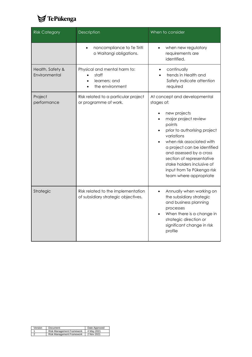

| <b>Risk Category</b>              | Description                                                               | When to consider                                                                                                                                                                                                                                                                                                                                     |
|-----------------------------------|---------------------------------------------------------------------------|------------------------------------------------------------------------------------------------------------------------------------------------------------------------------------------------------------------------------------------------------------------------------------------------------------------------------------------------------|
|                                   | noncompliance to Te Tiriti<br>o Waitangi obligations.                     | when new regulatory<br>requirements are<br>identified.                                                                                                                                                                                                                                                                                               |
| Health, Safety &<br>Environmental | Physical and mental harm to:<br>staff<br>learners: and<br>the environment | continually<br>$\bullet$<br>trends in Health and<br>Safety indicate attention<br>required                                                                                                                                                                                                                                                            |
| Project<br>performance            | Risk related to a particular project<br>or programme of work.             | At concept and developmental<br>stages of:<br>new projects<br>major project review<br>points<br>prior to authorising project<br>variations<br>when risk associated with<br>a project can be identified<br>and assessed by a cross<br>section of representative<br>stake holders inclusive of<br>input from Te Pūkenga risk<br>team where appropriate |
| Strategic                         | Risk related to the implementation<br>of subsidiary strategic objectives. | Annually when working on<br>$\bullet$<br>the subsidiary strategic<br>and business planning<br>processes<br>When there is a change in<br>strategic direction or<br>significant change in risk<br>profile                                                                                                                                              |

| Version Document<br>Date Approved    |
|--------------------------------------|
| Risk Management Framework 4 May 2021 |
| Risk Management Framework 2 Nov 2021 |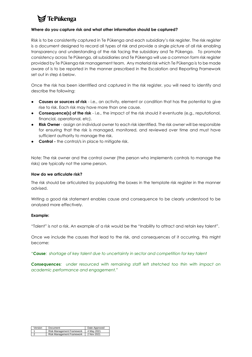# **7** TePūkenga

#### **Where do you capture risk and what other information should be captured?**

Risk is to be consistently captured in Te Pūkenga and each subsidiary's risk register. The risk register is a document designed to record all types of risk and provide a single picture of all risk enabling transparency and understanding of the risk facing the subsidiary and Te Pūkenga. To promote consistency across Te Pūkenga, all subsidiaries and Te Pūkenga will use a common form risk register provided by Te Pūkenga risk management team. Any material risk which Te Pūkenga is to be made aware of is to be reported in the manner prescribed in the Escalation and Reporting Framework set out in step 6 below.

Once the risk has been identified and captured in the risk register, you will need to identify and describe the following:

- **Causes or sources of risk** i.e., an activity, element or condition that has the potential to give rise to risk. Each risk may have more than one cause.
- **Consequence(s) of the risk** i.e., the impact of the risk should it eventuate (e.g., reputational, financial, operational, etc).
- **Risk Owner**  assign an individual owner to each risk identified. The risk owner will be responsible for ensuring that the risk is managed, monitored, and reviewed over time and must have sufficient authority to manage the risk.
- **Control -** the control/s in place to mitigate risk.

Note: The risk owner and the control owner (the person who implements controls to manage the risks) are typically not the same person.

#### **How do we articulate risk?**

The risk should be articulated by populating the boxes in the template risk register in the manner advised.

Writing a good risk statement enables cause and consequence to be clearly understood to be analysed more effectively.

#### **Example:**

"Talent" is not a risk. An example of a risk would be the "Inability to attract and retain key talent".

Once we include the causes that lead to the risk, and consequences of it occurring, this might become:

*"Cause: shortage of key talent due to uncertainty in sector and competition for key talent*

*Consequences: under resourced with remaining staff left stretched too thin with impact on academic performance and engagement."*

| Version Document<br>Date Approved    |
|--------------------------------------|
| Risk Management Framework 4 May 2021 |
| Risk Management Framework 2 Nov 2021 |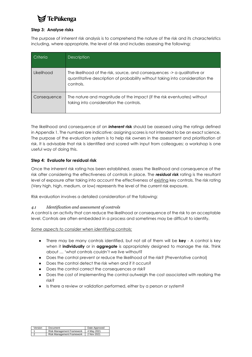## **TePūkenga**

#### **Step 3: Analyse risks**

The purpose of inherent risk analysis is to comprehend the nature of the risk and its characteristics including, where appropriate, the level of risk and includes assessing the following:

| Criteria    | <b>Description</b>                                                                                                                                                     |
|-------------|------------------------------------------------------------------------------------------------------------------------------------------------------------------------|
| Likelihood  | The likelihood of the risk, source, and consequences -> a qualitative or<br>quantitative description of probability without taking into consideration the<br>controls. |
| Consequence | The nature and magnitude of the impact (if the risk eventuates) without<br>taking into consideration the controls.                                                     |

The likelihood and consequence of an *inherent* **risk** should be assessed using the ratings defined in Appendix 1. The numbers are indicative; assigning scores is not intended to be an exact science. The purpose of the evaluation system is to help risk owners in the assessment and prioritisation of risk. It is advisable that risk is identified and scored with input from colleagues; a workshop is one useful way of doing this.

#### **Step 4: Evaluate for residual risk**

Once the inherent risk rating has been established, assess the likelihood and consequence of the risk after considering the effectiveness of controls in place. The *residual risk* rating is the resultant level of exposure after taking into account the effectiveness of existing key controls. The risk rating (Very high, high, medium, or low) represents the level of the current risk exposure.

Risk evaluation involves a detailed consideration of the following:

#### *4.1 Identification and assessment of controls*

A control is an activity that can reduce the likelihood or consequence of the risk to an acceptable level. Controls are often embedded in a process and sometimes may be difficult to identify.

*Some aspects to consider when identifying controls:*

- There may be many controls identified, but not all of them will be **key** A control is key when it **individually** or in **aggregate** is appropriately designed to manage the risk. Think about … 'what controls couldn't we live without?
- Does the control prevent or reduce the likelihood of the risk? (Preventative control)
- Does the control detect the risk when and if it occurs?
- Does the control correct the consequences or risk?
- Does the cost of implementing the control outweigh the cost associated with realising the risk?
- Is there a review or validation performed, either by a person or system?

| the contract of the contract of the contract of | Version   Document        | Date Approved |
|-------------------------------------------------|---------------------------|---------------|
|                                                 | Risk Management Framework | 4 May 2021    |
|                                                 |                           |               |
|                                                 | Risk Management Framework | 2 Nov 2021    |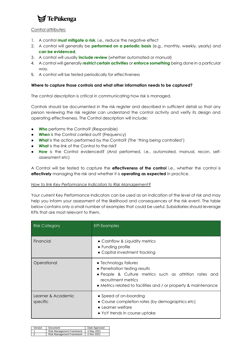

#### *Control attributes:*

- 1. A control **must mitigate a risk**, i.e., reduce the negative effect
- 2. A control will generally be **performed on a periodic basis** (e.g., monthly, weekly, yearly) and **can be evidenced**.
- 3. A control will usually **include review** (whether automated or manual)
- 4. A control will generally **restrict certain activities** or **enforce something** being done in a particular way.
- 5. A control will be tested periodically for effectiveness

#### **Where to capture those controls and what other information needs to be captured?**

The control description is critical in communicating how risk is managed.

Controls should be documented in the risk register and described in sufficient detail so that any person reviewing the risk register can understand the control activity and verify its design and operating effectiveness. The Control description will include:

- **Who** performs the Control? (Responsible)
- **When** is the Control carried out? (Frequency)
- **What** is the action performed by the Control? (The 'thing being controlled')
- **What** is the link of the Control to the risk?
- **How** is the Control evidenced? (And performed, i.e., automated, manual, recon, selfassessment etc)

A Control will be tested to capture the **effectiveness of the control** i.e., whether the control is **effectively** managing the risk and whether it is **operating as expected** in practice.

#### *How to link Key Performance Indicators to Risk Management?*

Your current Key Performance Indicators can be used as an indication of the level of risk and may help you inform your assessment of the likelihood and consequences of the risk event. The table below contains only a small number of examples that could be useful. Subsidiaries should leverage KPIs that are most relevant to them.

| <b>Risk Category</b>           | <b>KPI Examples</b>                                                                                                                                                                                        |
|--------------------------------|------------------------------------------------------------------------------------------------------------------------------------------------------------------------------------------------------------|
| Financial                      | • Cashflow & Liquidity metrics<br>• Funding profile<br>• Capital investment tracking                                                                                                                       |
| Operational                    | • Technology failures<br>• Penetration testing results<br>• People & Culture metrics such as attrition rates and<br>recruitment metrics<br>• Metrics related to facilities and / or property & maintenance |
| Learner & Academic<br>specific | • Speed of on-boarding<br>• Course completion rates (by demographics etc)<br>$\bullet$ Learner welfare<br>• YoY trends in course uptake                                                                    |

| Version Document<br>Date Approved    |
|--------------------------------------|
| Risk Management Framework 4 May 2021 |
| Risk Management Framework 2 Nov 2021 |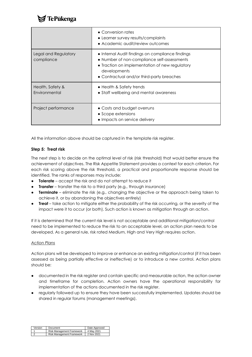# **TePūkenga**

|                                    | • Conversion rates<br>• Learner survey results/complaints<br>• Academic audit/review outcomes                                                                                                                  |
|------------------------------------|----------------------------------------------------------------------------------------------------------------------------------------------------------------------------------------------------------------|
| Legal and Regulatory<br>compliance | • Internal Audit findings on compliance findings<br>• Number of non-compliance self-assessments<br>• Traction on implementation of new regulatory<br>developments<br>• Contractual and/or third-party breaches |
| Health, Safety &<br>Environmental  | • Health & Safety trends<br>• Staff wellbeing and mental awareness                                                                                                                                             |
| Project performance                | • Costs and budget overruns<br>• Scope extensions<br>• Impacts on service delivery                                                                                                                             |

All the information above should be captured in the template risk register.

#### **Step 5: Treat risk**

The next step is to decide on the optimal level of risk (risk threshold) that would better ensure the achievement of objectives. The Risk Appetite Statement provides a context for each criterion. For each risk scoring above the risk threshold, a practical and proportionate response should be identified. The ranks of responses may include:

- **Tolerate** accept the risk and do not attempt to reduce it
- **Transfer** transfer the risk to a third party (e.g., through insurance)
- **Terminate** eliminate the risk (e.g., changing the objective or the approach being taken to achieve it, or by abandoning the objectives entirely)
- **Treat** take action to mitigate either the probability of the risk occurring, or the severity of the impact were it to occur (or both). Such action is known as mitigation through an action.

If it is determined that the current risk level is not acceptable and additional mitigation/control need to be implemented to reduce the risk to an acceptable level, an action plan needs to be developed. As a general rule, risk rated Medium, High and Very High requires action.

#### *Action Plans*

Action plans will be developed to improve or enhance an existing mitigation/control (if it has been assessed as being partially effective or ineffective) or to introduce a new control. Action plans should be:

- documented in the risk register and contain specific and measurable action, the action owner and timeframe for completion. Action owners have the operational responsibility for implementation of the actions documented in the risk register.
- regularly followed up to ensure they have been successfully implemented. Updates should be shared in regular forums (management meetings).

| Version Document                     | Date Approved |
|--------------------------------------|---------------|
| Risk Management Framework 4 May 2021 |               |
| Risk Management Framework 2 Nov 2021 |               |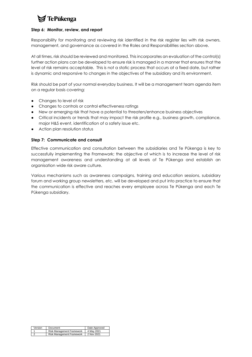# $\blacktriangleright$  TePukenga

#### **Step 6: Monitor, review, and report**

Responsibility for monitoring and reviewing risk identified in the risk register lies with risk owners, management, and governance as covered in the Roles and Responsibilities section above.

At all times, risk should be reviewed and monitored. This incorporates an evaluation of the control(s) further action plans can be developed to ensure risk is managed in a manner that ensures that the level of risk remains acceptable. This is not a static process that occurs at a fixed date, but rather is dynamic and responsive to changes in the objectives of the subsidiary and its environment.

Risk should be part of your normal everyday business. It will be a management team agenda item on a regular basis covering:

- Changes to level of risk
- Changes to controls or control effectiveness ratings
- New or emerging risk that have a potential to threaten/enhance business objectives
- Critical incidents or trends that may impact the risk profile e.g., business growth, compliance, major H&S event, identification of a safety issue etc.
- Action plan resolution status

#### **Step 7: Communicate and consult**

Effective communication and consultation between the subsidiaries and Te Pūkenga is key to successfully implementing the Framework; the objective of which is to increase the level of risk management awareness and understanding at all levels of Te Pūkenga and establish an organisation wide risk aware culture.

Various mechanisms such as awareness campaigns, training and education sessions, subsidiary forum and working group newsletters, etc. will be developed and put into practice to ensure that the communication is effective and reaches every employee across Te Pūkenga and each Te Pūkenga subsidiary.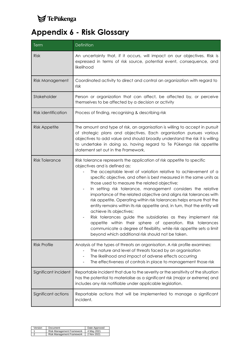

# <span id="page-36-0"></span>**Appendix 6 - Risk Glossary**

| Term                   | Definition                                                                                                                                                                                                                                                                                                                                                                                                                                                                                                                                                                                                                                                                                                                                                                                                                                                                                               |
|------------------------|----------------------------------------------------------------------------------------------------------------------------------------------------------------------------------------------------------------------------------------------------------------------------------------------------------------------------------------------------------------------------------------------------------------------------------------------------------------------------------------------------------------------------------------------------------------------------------------------------------------------------------------------------------------------------------------------------------------------------------------------------------------------------------------------------------------------------------------------------------------------------------------------------------|
| <b>Risk</b>            | An uncertainty that, if it occurs, will impact on our objectives. Risk is<br>expressed in terms of risk source, potential event, consequence, and<br>likelihood                                                                                                                                                                                                                                                                                                                                                                                                                                                                                                                                                                                                                                                                                                                                          |
| <b>Risk Management</b> | Coordinated activity to direct and control an organization with regard to<br>risk                                                                                                                                                                                                                                                                                                                                                                                                                                                                                                                                                                                                                                                                                                                                                                                                                        |
| Stakeholder            | Person or organization that can affect, be affected by, or perceive<br>themselves to be affected by a decision or activity                                                                                                                                                                                                                                                                                                                                                                                                                                                                                                                                                                                                                                                                                                                                                                               |
| Risk identification    | Process of finding, recognising & describing risk                                                                                                                                                                                                                                                                                                                                                                                                                                                                                                                                                                                                                                                                                                                                                                                                                                                        |
| <b>Risk Appetite</b>   | The amount and type of risk, an organisation is willing to accept in pursuit<br>of strategic plans and objectives. Each organisation pursues various<br>objectives to add value and should broadly understand the risk it is willing<br>to undertake in doing so, having regard to Te Pūkenga risk appetite<br>statement set out in the Framework.                                                                                                                                                                                                                                                                                                                                                                                                                                                                                                                                                       |
| <b>Risk Tolerance</b>  | Risk tolerance represents the application of risk appetite to specific<br>objectives and is defined as:<br>The acceptable level of variation relative to achievement of a<br>specific objective, and often is best measured in the same units as<br>those used to measure the related objective;<br>In setting risk tolerance, management considers the relative<br>$\blacksquare$<br>importance of the related objective and aligns risk tolerances with<br>risk appetite. Operating within risk tolerances helps ensure that the<br>entity remains within its risk appetite and, in turn, that the entity will<br>achieve its objectives;<br>Risk tolerances guide the subsidiaries as they implement risk<br>appetite within their sphere of operation. Risk tolerances<br>communicate a degree of flexibility, while risk appetite sets a limit<br>beyond which additional risk should not be taken. |
| <b>Risk Profile</b>    | Analysis of the types of threats an organisation. A risk profile examines:<br>The nature and level of threats faced by an organisation<br>The likelihood and impact of adverse effects occurring<br>The effectiveness of controls in place to management those risk                                                                                                                                                                                                                                                                                                                                                                                                                                                                                                                                                                                                                                      |
| Significant incident   | Reportable incident that due to the severity or the sensitivity of the situation<br>has the potential to materialise as a significant risk (major or extreme) and<br>includes any risk notifiable under applicable legislation.                                                                                                                                                                                                                                                                                                                                                                                                                                                                                                                                                                                                                                                                          |
| Significant actions    | Reportable actions that will be implemented to manage a significant<br>incident.                                                                                                                                                                                                                                                                                                                                                                                                                                                                                                                                                                                                                                                                                                                                                                                                                         |

|                | Version Document                     | Date Approved |
|----------------|--------------------------------------|---------------|
| $\overline{a}$ | Risk Management Framework 4 May 2021 |               |
|                | Risk Management Framework 2 Nov 2021 |               |